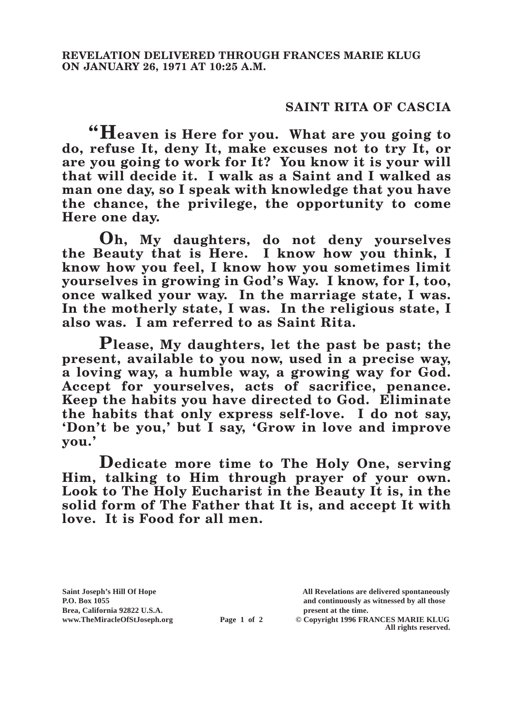## **SAINT RITA OF CASCIA**

**"Heaven is Here for you. What are you going to do, refuse It, deny It, make excuses not to try It, or are you going to work for It? You know it is your will that will decide it. I walk as a Saint and I walked as man one day, so I speak with knowledge that you have the chance, the privilege, the opportunity to come Here one day.**

**Oh, My daughters, do not deny yourselves the Beauty that is Here. I know how you think, I know how you feel, I know how you sometimes limit yourselves in growing in God's Way. I know, for I, too, once walked your way. In the marriage state, I was. In the motherly state, I was. In the religious state, I also was. I am referred to as Saint Rita.**

**Please, My daughters, let the past be past; the present, available to you now, used in a precise way, a loving way, a humble way, a growing way for God. Accept for yourselves, acts of sacrifice, penance. Keep the habits you have directed to God. Eliminate the habits that only express self-love. I do not say, 'Don't be you,' but I say, 'Grow in love and improve you.'**

**Dedicate more time to The Holy One, serving Him, talking to Him through prayer of your own. Look to The Holy Eucharist in the Beauty It is, in the solid form of The Father that It is, and accept It with love. It is Food for all men.**

**Brea, California 92822 U.S.A. present at the time.**<br> **Page 1 of 2** © Copyright 1996 FR.

**Saint Joseph's Hill Of Hope All Revelations are delivered spontaneously P.O. Box 1055 and continuously as witnessed by all those** 

**Page 1 of 2** © Copyright 1996 FRANCES MARIE KLUG **All rights reserved.**